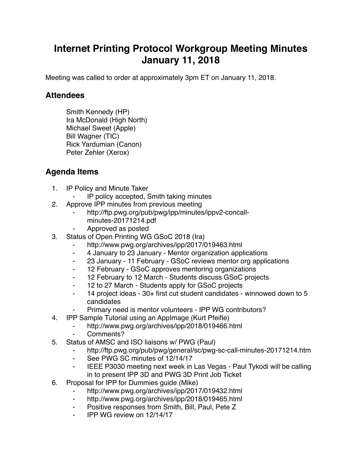## **Internet Printing Protocol Workgroup Meeting Minutes January 11, 2018**

Meeting was called to order at approximately 3pm ET on January 11, 2018.

## **Attendees**

Smith Kennedy (HP) Ira McDonald (High North) Michael Sweet (Apple) Bill Wagner (TIC) Rick Yardumian (Canon) Peter Zehler (Xerox)

## **Agenda Items**

- 1. IP Policy and Minute Taker
	- IP policy accepted, Smith taking minutes
- 2. Approve IPP minutes from previous meeting
	- http://ftp.pwg.org/pub/pwg/ipp/minutes/ippv2-concallminutes-20171214.pdf
	- ⁃ Approved as posted
- 3. Status of Open Printing WG GSoC 2018 (Ira)
	- http://www.pwg.org/archives/ipp/2017/019463.html
	- ⁃ 4 January to 23 January Mentor organization applications
	- ⁃ 23 January 11 February GSoC reviews mentor org applications
	- ⁃ 12 February GSoC approves mentoring organizations
	- ⁃ 12 February to 12 March Students discuss GSoC projects
	- ⁃ 12 to 27 March Students apply for GSoC projects
	- ⁃ 14 project ideas 30+ first cut student candidates winnowed down to 5 candidates
	- Primary need is mentor volunteers IPP WG contributors?
- 4. IPP Sample Tutorial using an AppImage (Kurt Pfeifle)
	- http://www.pwg.org/archives/ipp/2018/019466.html
	- Comments?
- 5. Status of AMSC and ISO liaisons w/ PWG (Paul)
	- ⁃ http://ftp.pwg.org/pub/pwg/general/sc/pwg-sc-call-minutes-20171214.htm
	- ⁃ See PWG SC minutes of 12/14/17
	- ⁃ IEEE P3030 meeting next week in Las Vegas Paul Tykodi will be calling in to present IPP 3D and PWG 3D Print Job Ticket
- 6. Proposal for IPP for Dummies guide (Mike)
	- http://www.pwg.org/archives/ipp/2017/019432.html
	- http://www.pwg.org/archives/ipp/2018/019465.html
	- Positive responses from Smith, Bill, Paul, Pete Z
	- ⁃ IPP WG review on 12/14/17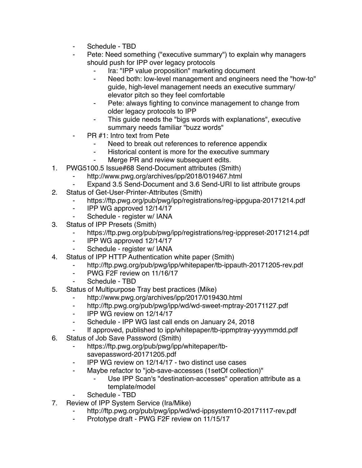- Schedule TBD
- Pete: Need something ("executive summary") to explain why managers should push for IPP over legacy protocols
	- Ira: "IPP value proposition" marketing document
	- ⁃ Need both: low-level management and engineers need the "how-to" guide, high-level management needs an executive summary/ elevator pitch so they feel comfortable
	- Pete: always fighting to convince management to change from older legacy protocols to IPP
	- ⁃ This guide needs the "bigs words with explanations", executive summary needs familiar "buzz words"
- PR #1: Intro text from Pete
	- Need to break out references to reference appendix
	- ⁃ Historical content is more for the executive summary
	- Merge PR and review subsequent edits.
- 1. PWG5100.5 Issue#68 Send-Document attributes (Smith)
	- http://www.pwg.org/archives/ipp/2018/019467.html
	- Expand 3.5 Send-Document and 3.6 Send-URI to list attribute groups
- 2. Status of Get-User-Printer-Attributes (Smith)
	- https://ftp.pwg.org/pub/pwg/ipp/registrations/reg-ippgupa-20171214.pdf
	- ⁃ IPP WG approved 12/14/17
	- Schedule register w/ IANA
- 3. Status of IPP Presets (Smith)
	- https://ftp.pwg.org/pub/pwg/ipp/registrations/reg-ipppreset-20171214.pdf
	- ⁃ IPP WG approved 12/14/17
	- Schedule register w/ IANA
- 4. Status of IPP HTTP Authentication white paper (Smith)
	- http://ftp.pwg.org/pub/pwg/ipp/whitepaper/tb-ippauth-20171205-rev.pdf
	- PWG F2F review on 11/16/17
	- Schedule TBD
- 5. Status of Multipurpose Tray best practices (Mike)
	- ⁃ http://www.pwg.org/archives/ipp/2017/019430.html
	- ⁃ http://ftp.pwg.org/pub/pwg/ipp/wd/wd-sweet-mptray-20171127.pdf
	- ⁃ IPP WG review on 12/14/17
	- ⁃ Schedule IPP WG last call ends on January 24, 2018
	- If approved, published to ipp/whitepaper/tb-ippmptray-yyyymmdd.pdf
- 6. Status of Job Save Password (Smith)
	- https://ftp.pwg.org/pub/pwg/ipp/whitepaper/tbsavepassword-20171205.pdf
	- ⁃ IPP WG review on 12/14/17 two distinct use cases
	- ⁃ Maybe refactor to "job-save-accesses (1setOf collection)"
		- Use IPP Scan's "destination-accesses" operation attribute as a template/model
	- Schedule TBD
- 7. Review of IPP System Service (Ira/Mike)
	- http://ftp.pwg.org/pub/pwg/ipp/wd/wd-ippsystem10-20171117-rev.pdf
	- ⁃ Prototype draft PWG F2F review on 11/15/17